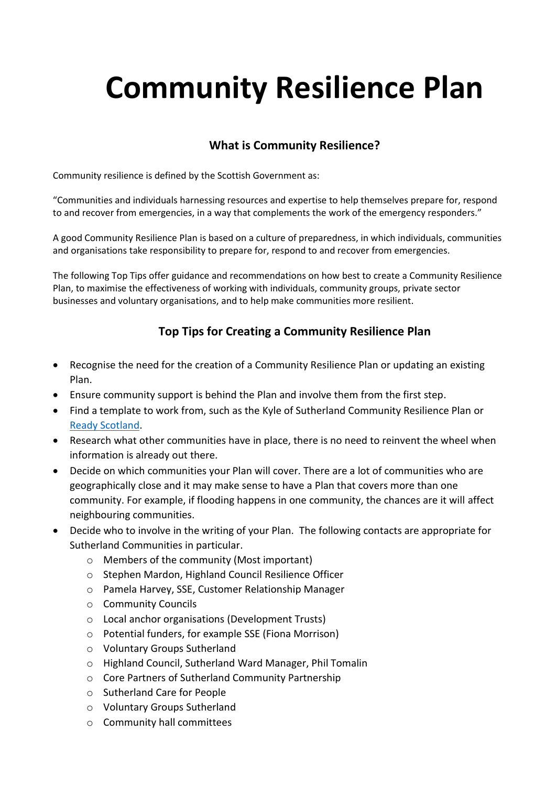## **Community Resilience Plan**

## **What is Community Resilience?**

Community resilience is defined by the Scottish Government as:

"Communities and individuals harnessing resources and expertise to help themselves prepare for, respond to and recover from emergencies, in a way that complements the work of the emergency responders."

A good Community Resilience Plan is based on a culture of preparedness, in which individuals, communities and organisations take responsibility to prepare for, respond to and recover from emergencies.

The following Top Tips offer guidance and recommendations on how best to create a Community Resilience Plan, to maximise the effectiveness of working with individuals, community groups, private sector businesses and voluntary organisations, and to help make communities more resilient.

## **Top Tips for Creating a Community Resilience Plan**

- Recognise the need for the creation of a Community Resilience Plan or updating an existing Plan.
- Ensure community support is behind the Plan and involve them from the first step.
- Find a template to work from, such as the Kyle of Sutherland Community Resilience Plan or [Ready Scotland.](https://ready.scot/get-involved/community-groups/guide-emergency-planning-community-groups/templates)
- Research what other communities have in place, there is no need to reinvent the wheel when information is already out there.
- Decide on which communities your Plan will cover. There are a lot of communities who are geographically close and it may make sense to have a Plan that covers more than one community. For example, if flooding happens in one community, the chances are it will affect neighbouring communities.
- Decide who to involve in the writing of your Plan. The following contacts are appropriate for Sutherland Communities in particular.
	- o Members of the community (Most important)
	- o Stephen Mardon, Highland Council Resilience Officer
	- o Pamela Harvey, SSE, Customer Relationship Manager
	- o Community Councils
	- o Local anchor organisations (Development Trusts)
	- o Potential funders, for example SSE (Fiona Morrison)
	- o Voluntary Groups Sutherland
	- o Highland Council, Sutherland Ward Manager, Phil Tomalin
	- o Core Partners of Sutherland Community Partnership
	- o Sutherland Care for People
	- o Voluntary Groups Sutherland
	- o Community hall committees